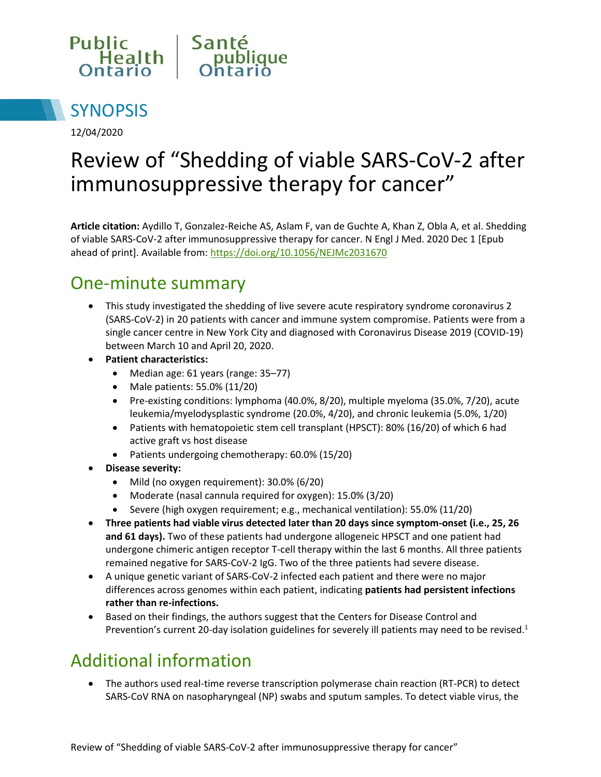



12/04/2020

# Review of "Shedding of viable SARS-CoV-2 after immunosuppressive therapy for cancer"

**Article citation:** Aydillo T, Gonzalez-Reiche AS, Aslam F, van de Guchte A, Khan Z, Obla A, et al. Shedding of viable SARS-CoV-2 after immunosuppressive therapy for cancer. N Engl J Med. 2020 Dec 1 [Epub ahead of print]. Available from:<https://doi.org/10.1056/NEJMc2031670>

#### One-minute summary

- This study investigated the shedding of live severe acute respiratory syndrome coronavirus 2 (SARS-CoV-2) in 20 patients with cancer and immune system compromise. Patients were from a single cancer centre in New York City and diagnosed with Coronavirus Disease 2019 (COVID-19) between March 10 and April 20, 2020.
- **Patient characteristics:** 
	- Median age: 61 years (range: 35–77)
	- Male patients: 55.0% (11/20)
	- Pre-existing conditions: lymphoma (40.0%, 8/20), multiple myeloma (35.0%, 7/20), acute leukemia/myelodysplastic syndrome (20.0%, 4/20), and chronic leukemia (5.0%, 1/20)
	- Patients with hematopoietic stem cell transplant (HPSCT): 80% (16/20) of which 6 had active graft vs host disease
	- Patients undergoing chemotherapy: 60.0% (15/20)
- **Disease severity:** 
	- Mild (no oxygen requirement): 30.0% (6/20)
	- Moderate (nasal cannula required for oxygen): 15.0% (3/20)
	- Severe (high oxygen requirement; e.g., mechanical ventilation): 55.0% (11/20)
- **Three patients had viable virus detected later than 20 days since symptom-onset (i.e., 25, 26 and 61 days).** Two of these patients had undergone allogeneic HPSCT and one patient had undergone chimeric antigen receptor T-cell therapy within the last 6 months. All three patients remained negative for SARS-CoV-2 IgG. Two of the three patients had severe disease.
- A unique genetic variant of SARS-CoV-2 infected each patient and there were no major differences across genomes within each patient, indicating **patients had persistent infections rather than re-infections.**
- Based on their findings, the authors suggest that the Centers for Disease Control and Prevention's current 20-day isolation guidelines for severely ill patients may need to be revised.<sup>1</sup>

## Additional information

 The authors used real-time reverse transcription polymerase chain reaction (RT-PCR) to detect SARS-CoV RNA on nasopharyngeal (NP) swabs and sputum samples. To detect viable virus, the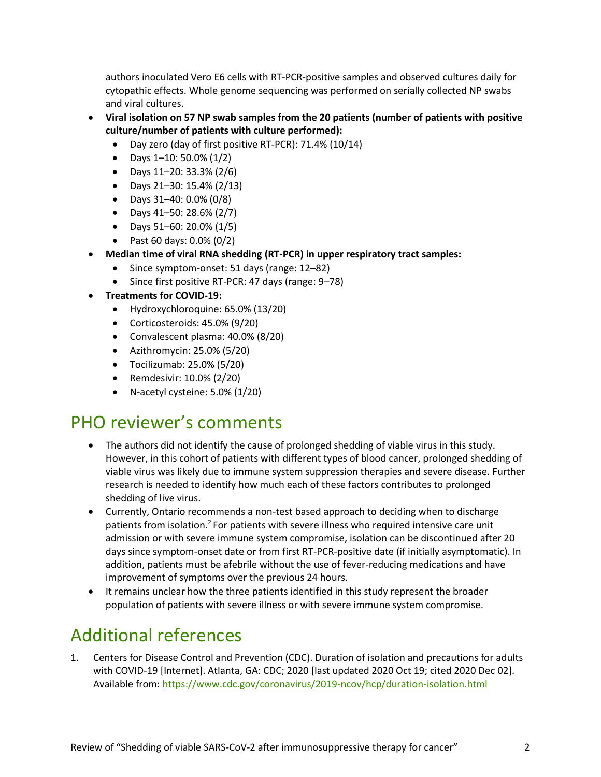authors inoculated Vero E6 cells with RT-PCR-positive samples and observed cultures daily for cytopathic effects. Whole genome sequencing was performed on serially collected NP swabs and viral cultures.

- **Viral isolation on 57 NP swab samples from the 20 patients (number of patients with positive culture/number of patients with culture performed):** 
	- Day zero (day of first positive RT-PCR): 71.4% (10/14)
	- Days  $1-10: 50.0\% (1/2)$
	- Days 11–20: 33.3% (2/6)
	- Days 21–30: 15.4% (2/13)
	- Days 31–40: 0.0% (0/8)
	- Days 41–50: 28.6% (2/7)
	- Days 51–60: 20.0% (1/5)
	- Past 60 days:  $0.0\%$  (0/2)
- **Median time of viral RNA shedding (RT-PCR) in upper respiratory tract samples:** 
	- Since symptom-onset: 51 days (range: 12–82)
	- Since first positive RT-PCR: 47 days (range: 9–78)
- **Treatments for COVID-19:** 
	- Hydroxychloroquine: 65.0% (13/20)
	- Corticosteroids: 45.0% (9/20)
	- Convalescent plasma: 40.0% (8/20)
	- Azithromycin: 25.0% (5/20)
	- Tocilizumab: 25.0% (5/20)
	- Remdesivir: 10.0% (2/20)
	- N-acetyl cysteine: 5.0% (1/20)

#### PHO reviewer's comments

- The authors did not identify the cause of prolonged shedding of viable virus in this study. However, in this cohort of patients with different types of blood cancer, prolonged shedding of viable virus was likely due to immune system suppression therapies and severe disease. Further research is needed to identify how much each of these factors contributes to prolonged shedding of live virus.
- Currently, Ontario recommends a non-test based approach to deciding when to discharge patients from isolation.<sup>2</sup> For patients with severe illness who required intensive care unit admission or with severe immune system compromise, isolation can be discontinued after 20 days since symptom-onset date or from first RT-PCR-positive date (if initially asymptomatic). In addition, patients must be afebrile without the use of fever-reducing medications and have improvement of symptoms over the previous 24 hours.
- It remains unclear how the three patients identified in this study represent the broader population of patients with severe illness or with severe immune system compromise.

## Additional references

1. Centers for Disease Control and Prevention (CDC). Duration of isolation and precautions for adults with COVID-19 [Internet]. Atlanta, GA: CDC; 2020 [last updated 2020 Oct 19; cited 2020 Dec 02]. Available from[: https://www.cdc.gov/coronavirus/2019-ncov/hcp/duration-isolation.html](https://www.cdc.gov/coronavirus/2019-ncov/hcp/duration-isolation.html)